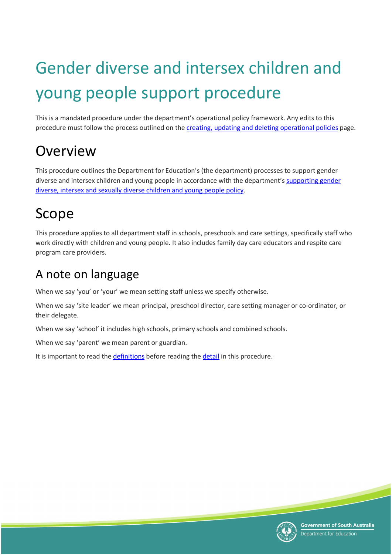# <span id="page-0-0"></span>Gender diverse and intersex children and young people support procedure

This is a mandated procedure under the department's operational policy framework. Any edits to this procedure must follow the process outlined on the [creating, updating and deleting](https://edi.sa.edu.au/the-department/policies/create-update-and-delete-policies) operational policies page.

# <span id="page-0-1"></span>Overview

This procedure outlines the Department for Education's (the department) processes to support gender diverse and intersex children and young people in accordance with the department's [supporting gender](https://edi.sa.edu.au/library/document-library/controlled-policies/supporting-gender-diverse-intersex-sexually-diverse-children-young-people-policy.pdf)  [diverse, intersex and sexually diverse children and young people policy.](https://edi.sa.edu.au/library/document-library/controlled-policies/supporting-gender-diverse-intersex-sexually-diverse-children-young-people-policy.pdf)

# <span id="page-0-2"></span>Scope

This procedure applies to all department staff in schools, preschools and care settings, specifically staff who work directly with children and young people. It also includes family day care educators and respite care program care providers.

## <span id="page-0-3"></span>A note on language

When we say 'you' or 'your' we mean setting staff unless we specify otherwise.

When we say 'site leader' we mean principal, preschool director, care setting manager or co-ordinator, or their delegate.

When we say 'school' it includes high schools, primary schools and combined schools.

When we say 'parent' we mean parent or guardian.

It is important to read the [definitions](#page-13-0) before reading the [detail](#page-3-0) in this procedure.

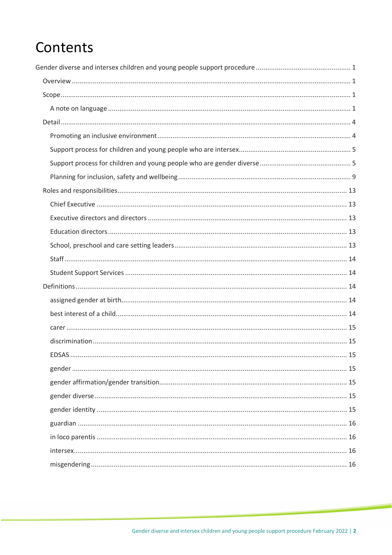# Contents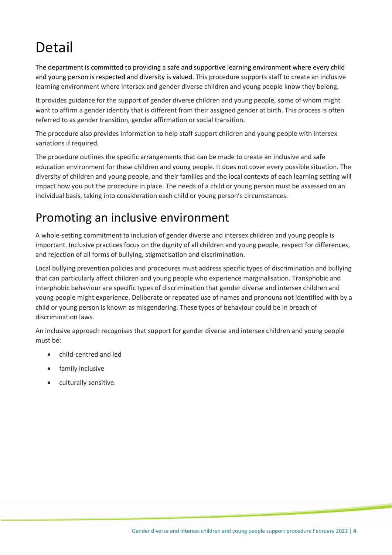# <span id="page-3-0"></span>Detail

The department is committed to providing a safe and supportive learning environment where every child and young person is respected and diversity is valued. This procedure supports staff to create an inclusive learning environment where intersex and gender diverse children and young people know they belong.

It provides guidance for the support of gender diverse children and young people, some of whom might want to affirm a gender identity that is different from their assigned gender at birth. This process is often referred to as gender transition, gender affirmation or social transition.

The procedure also provides information to help staff support children and young people with intersex variations if required.

The procedure outlines the specific arrangements that can be made to create an inclusive and safe education environment for these children and young people. It does not cover every possible situation. The diversity of children and young people, and their families and the local contexts of each learning setting will impact how you put the procedure in place. The needs of a child or young person must be assessed on an individual basis, taking into consideration each child or young person's circumstances.

### <span id="page-3-1"></span>Promoting an inclusive environment

A whole-setting commitment to inclusion of gender diverse and intersex children and young people is important. Inclusive practices focus on the dignity of all children and young people, respect for differences, and rejection of all forms of bullying, stigmatisation and discrimination.

Local bullying prevention policies and procedures must address specific types of discrimination and bullying that can particularly affect children and young people who experience marginalisation. Transphobic and interphobic behaviour are specific types of discrimination that gender diverse and intersex children and young people might experience. Deliberate or repeated use of names and pronouns not identified with by a child or young person is known as misgendering. These types of behaviour could be in breach of discrimination laws.

An inclusive approach recognises that support for gender diverse and intersex children and young people must be:

- child-centred and led
- family inclusive
- culturally sensitive.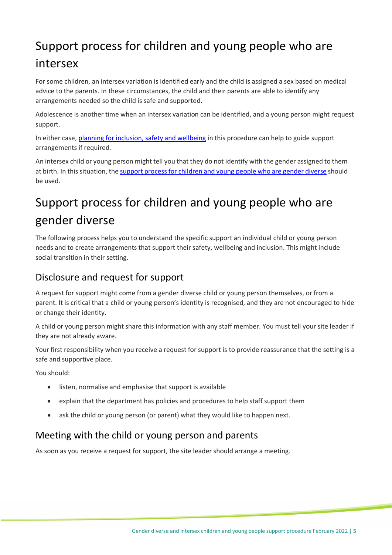## <span id="page-4-0"></span>Support process for children and young people who are intersex

For some children, an intersex variation is identified early and the child is assigned a sex based on medical advice to the parents. In these circumstances, the child and their parents are able to identify any arrangements needed so the child is safe and supported.

Adolescence is another time when an intersex variation can be identified, and a young person might request support.

In either case, [planning for inclusion, safety and wellbeing](#page-8-0) in this procedure can help to guide support arrangements if required.

An intersex child or young person might tell you that they do not identify with the gender assigned to them at birth. In this situation, the support [process for children and young people who are](#page-4-1) gender diverse should be used.

## <span id="page-4-1"></span>Support process for children and young people who are gender diverse

The following process helps you to understand the specific support an individual child or young person needs and to create arrangements that support their safety, wellbeing and inclusion. This might include social transition in their setting.

#### Disclosure and request for support

A request for support might come from a gender diverse child or young person themselves, or from a parent. It is critical that a child or young person's identity is recognised, and they are not encouraged to hide or change their identity.

A child or young person might share this information with any staff member. You must tell your site leader if they are not already aware.

Your first responsibility when you receive a request for support is to provide reassurance that the setting is a safe and supportive place.

You should:

- listen, normalise and emphasise that support is available
- explain that the department has policies and procedures to help staff support them
- ask the child or young person (or parent) what they would like to happen next.

#### Meeting with the child or young person and parents

As soon as you receive a request for support, the site leader should arrange a meeting.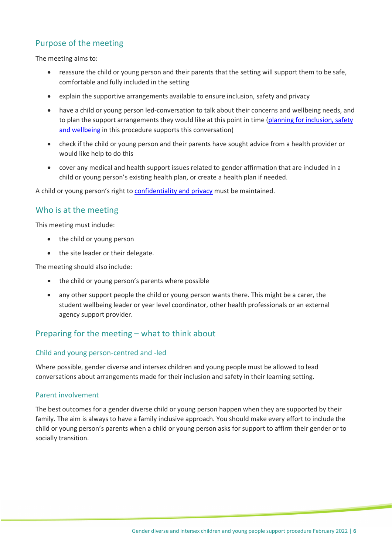#### Purpose of the meeting

The meeting aims to:

- reassure the child or young person and their parents that the setting will support them to be safe, comfortable and fully included in the setting
- explain the supportive arrangements available to ensure inclusion, safety and privacy
- have a child or young person led-conversation to talk about their concerns and wellbeing needs, and to plan the support arrangements they would like at this point in time (planning for inclusion, safety [and wellbeing](#page-8-0) in this procedure supports this conversation)
- check if the child or young person and their parents have sought advice from a health provider or would like help to do this
- cover any medical and health support issues related to gender affirmation that are included in a child or young person's existing health plan, or create a health plan if needed.

A child or young person's right to **confidentiality and privacy** must be maintained.

#### Who is at the meeting

This meeting must include:

- the child or young person
- the site leader or their delegate.

The meeting should also include:

- the child or young person's parents where possible
- any other support people the child or young person wants there. This might be a carer, the student wellbeing leader or year level coordinator, other health professionals or an external agency support provider.

#### Preparing for the meeting – what to think about

#### Child and young person-centred and -led

Where possible, gender diverse and intersex children and young people must be allowed to lead conversations about arrangements made for their inclusion and safety in their learning setting.

#### Parent involvement

The best outcomes for a gender diverse child or young person happen when they are supported by their family. The aim is always to have a family inclusive approach. You should make every effort to include the child or young person's parents when a child or young person asks for support to affirm their gender or to socially transition.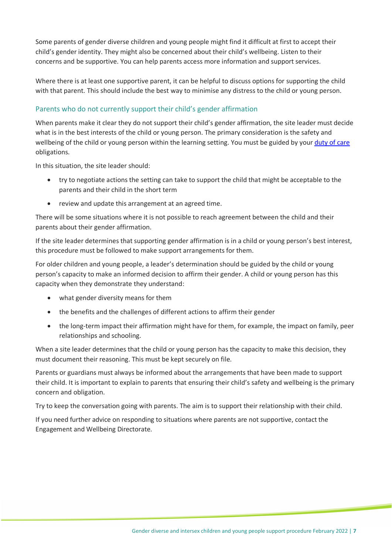Some parents of gender diverse children and young people might find it difficult at first to accept their child's gender identity. They might also be concerned about their child's wellbeing. Listen to their concerns and be supportive. You can help parents access more information and support services.

Where there is at least one supportive parent, it can be helpful to discuss options for supporting the child with that parent. This should include the best way to minimise any distress to the child or young person.

#### Parents who do not currently support their child's gender affirmation

When parents make it clear they do not support their child's gender affirmation, the site leader must decide what is in the best interests of the child or young person. The primary consideration is the safety and wellbeing of the child or young person within the learning setting. You must be guided by your [duty of care](https://edi.sa.edu.au/library/document-library/controlled-policies/duty-of-care-policy) obligations.

In this situation, the site leader should:

- try to negotiate actions the setting can take to support the child that might be acceptable to the parents and their child in the short term
- review and update this arrangement at an agreed time.

There will be some situations where it is not possible to reach agreement between the child and their parents about their gender affirmation.

If the site leader determines that supporting gender affirmation is in a child or young person's best interest, this procedure must be followed to make support arrangements for them.

For older children and young people, a leader's determination should be guided by the child or young person's capacity to make an informed decision to affirm their gender. A child or young person has this capacity when they demonstrate they understand:

- what gender diversity means for them
- the benefits and the challenges of different actions to affirm their gender
- the long-term impact their affirmation might have for them, for example, the impact on family, peer relationships and schooling.

When a site leader determines that the child or young person has the capacity to make this decision, they must document their reasoning. This must be kept securely on file.

Parents or guardians must always be informed about the arrangements that have been made to support their child. It is important to explain to parents that ensuring their child's safety and wellbeing is the primary concern and obligation.

Try to keep the conversation going with parents. The aim is to support their relationship with their child.

If you need further advice on responding to situations where parents are not supportive, contact the Engagement and Wellbeing Directorate.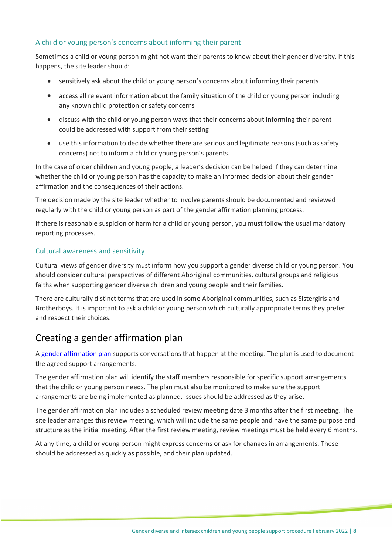#### A child or young person's concerns about informing their parent

Sometimes a child or young person might not want their parents to know about their gender diversity. If this happens, the site leader should:

- sensitively ask about the child or young person's concerns about informing their parents
- access all relevant information about the family situation of the child or young person including any known child protection or safety concerns
- discuss with the child or young person ways that their concerns about informing their parent could be addressed with support from their setting
- use this information to decide whether there are serious and legitimate reasons (such as safety concerns) not to inform a child or young person's parents.

In the case of older children and young people, a leader's decision can be helped if they can determine whether the child or young person has the capacity to make an informed decision about their gender affirmation and the consequences of their actions.

The decision made by the site leader whether to involve parents should be documented and reviewed regularly with the child or young person as part of the gender affirmation planning process.

If there is reasonable suspicion of harm for a child or young person, you must follow the usual mandatory reporting processes.

#### Cultural awareness and sensitivity

Cultural views of gender diversity must inform how you support a gender diverse child or young person. You should consider cultural perspectives of different Aboriginal communities, cultural groups and religious faiths when supporting gender diverse children and young people and their families.

There are culturally distinct terms that are used in some Aboriginal communities, such as Sistergirls and Brotherboys. It is important to ask a child or young person which culturally appropriate terms they prefer and respect their choices.

#### Creating a gender affirmation plan

A [gender affirmation plan](https://edi.sa.edu.au/library/document-library/early-years/engagement-and-wellbeing/gender-affirmation-action-plan-for-schools.docx) supports conversations that happen at the meeting. The plan is used to document the agreed support arrangements.

The gender affirmation plan will identify the staff members responsible for specific support arrangements that the child or young person needs. The plan must also be monitored to make sure the support arrangements are being implemented as planned. Issues should be addressed as they arise.

The gender affirmation plan includes a scheduled review meeting date 3 months after the first meeting. The site leader arranges this review meeting, which will include the same people and have the same purpose and structure as the initial meeting. After the first review meeting, review meetings must be held every 6 months.

At any time, a child or young person might express concerns or ask for changes in arrangements. These should be addressed as quickly as possible, and their plan updated.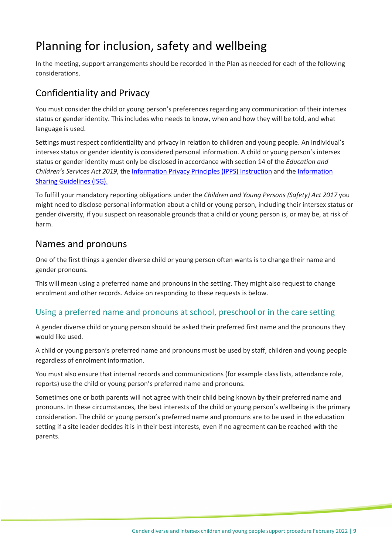## <span id="page-8-0"></span>Planning for inclusion, safety and wellbeing

In the meeting, support arrangements should be recorded in the Plan as needed for each of the following considerations.

#### <span id="page-8-1"></span>Confidentiality and Privacy

You must consider the child or young person's preferences regarding any communication of their intersex status or gender identity. This includes who needs to know, when and how they will be told, and what language is used.

Settings must respect confidentiality and privacy in relation to children and young people. An individual's intersex status or gender identity is considered personal information. A child or young person's intersex status or gender identity must only be disclosed in accordance with section 14 of the *Education and Children's Services Act 2019*, the [Information Privacy Principles \(IPPS\) Instruction](https://www.dpc.sa.gov.au/resources-and-publications/premier-and-cabinet-circulars/DPC-Circular-Information-Privacy-Principles-IPPS-Instruction.pdf) and the [Information](https://www.education.sa.gov.au/department/policies-and-legislation/information-sharing-guidelines-and-procedure)  [Sharing Guidelines \(ISG\).](https://www.education.sa.gov.au/department/policies-and-legislation/information-sharing-guidelines-and-procedure)

To fulfill your mandatory reporting obligations under the *Children and Young Persons (Safety) Act 2017* you might need to disclose personal information about a child or young person, including their intersex status or gender diversity, if you suspect on reasonable grounds that a child or young person is, or may be, at risk of harm.

#### Names and pronouns

One of the first things a gender diverse child or young person often wants is to change their name and gender pronouns.

This will mean using a preferred name and pronouns in the setting. They might also request to change enrolment and other records. Advice on responding to these requests is below.

#### Using a preferred name and pronouns at school, preschool or in the care setting

A gender diverse child or young person should be asked their preferred first name and the pronouns they would like used.

A child or young person's preferred name and pronouns must be used by staff, children and young people regardless of enrolment information.

You must also ensure that internal records and communications (for example class lists, attendance role, reports) use the child or young person's preferred name and pronouns.

Sometimes one or both parents will not agree with their child being known by their preferred name and pronouns. In these circumstances, the best interests of the child or young person's wellbeing is the primary consideration. The child or young person's preferred name and pronouns are to be used in the education setting if a site leader decides it is in their best interests, even if no agreement can be reached with the parents.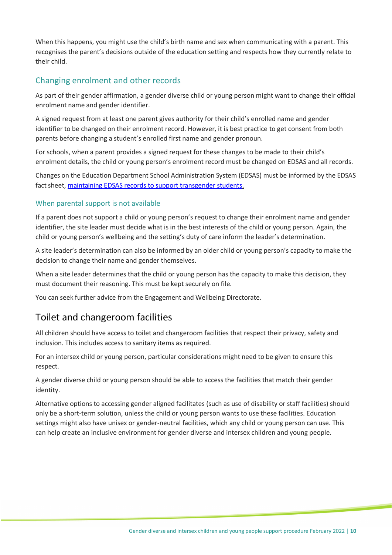When this happens, you might use the child's birth name and sex when communicating with a parent. This recognises the parent's decisions outside of the education setting and respects how they currently relate to their child.

#### Changing enrolment and other records

As part of their gender affirmation, a gender diverse child or young person might want to change their official enrolment name and gender identifier.

A signed request from at least one parent gives authority for their child's enrolled name and gender identifier to be changed on their enrolment record. However, it is best practice to get consent from both parents before changing a student's enrolled first name and gender pronoun.

For schools, when a parent provides a signed request for these changes to be made to their child's enrolment details, the child or young person's enrolment record must be changed on EDSAS and all records.

Changes on the Education Department School Administration System (EDSAS) must be informed by the EDSAS fact sheet, [maintaining EDSAS records to support transgender students.](https://selfservice.education.sa.gov.au/$viewer.do?sysparm_stack=no&sysparm_sys_id=2e27cc1c1bd8301094e277331d4bcb4e)

#### When parental support is not available

If a parent does not support a child or young person's request to change their enrolment name and gender identifier, the site leader must decide what is in the best interests of the child or young person. Again, the child or young person's wellbeing and the setting's duty of care inform the leader's determination.

A site leader's determination can also be informed by an older child or young person's capacity to make the decision to change their name and gender themselves.

When a site leader determines that the child or young person has the capacity to make this decision, they must document their reasoning. This must be kept securely on file.

You can seek further advice from the Engagement and Wellbeing Directorate.

#### <span id="page-9-0"></span>Toilet and changeroom facilities

All children should have access to toilet and changeroom facilities that respect their privacy, safety and inclusion. This includes access to sanitary items as required.

For an intersex child or young person, particular considerations might need to be given to ensure this respect.

A gender diverse child or young person should be able to access the facilities that match their gender identity.

Alternative options to accessing gender aligned facilitates (such as use of disability or staff facilities) should only be a short-term solution, unless the child or young person wants to use these facilities. Education settings might also have unisex or gender-neutral facilities, which any child or young person can use. This can help create an inclusive environment for gender diverse and intersex children and young people.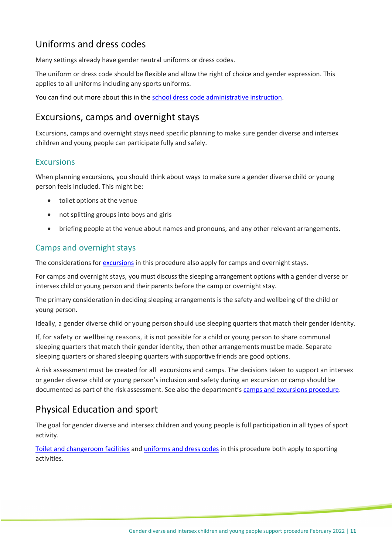#### <span id="page-10-1"></span>Uniforms and dress codes

Many settings already have gender neutral uniforms or dress codes.

The uniform or dress code should be flexible and allow the right of choice and gender expression. This applies to all uniforms including any sports uniforms.

You can find out more about this in the [school dress code administrative instruction.](https://edi.sa.edu.au/operations-and-management/school-preschool-and-fdc-admin/school-administration/school-dress-code-administrative-instruction)

#### Excursions, camps and overnight stays

Excursions, camps and overnight stays need specific planning to make sure gender diverse and intersex children and young people can participate fully and safely.

#### <span id="page-10-0"></span>**Excursions**

When planning excursions, you should think about ways to make sure a gender diverse child or young person feels included. This might be:

- toilet options at the venue
- not splitting groups into boys and girls
- briefing people at the venue about names and pronouns, and any other relevant arrangements.

#### Camps and overnight stays

The considerations for [excursions](#page-10-0) in this procedure also apply for camps and overnight stays.

For camps and overnight stays, you must discuss the sleeping arrangement options with a gender diverse or intersex child or young person and their parents before the camp or overnight stay.

The primary consideration in deciding sleeping arrangements is the safety and wellbeing of the child or young person.

Ideally, a gender diverse child or young person should use sleeping quarters that match their gender identity.

If, for safety or wellbeing reasons, it is not possible for a child or young person to share communal sleeping quarters that match their gender identity, then other arrangements must be made. Separate sleeping quarters or shared sleeping quarters with supportive friends are good options.

A risk assessment must be created for all excursions and camps. The decisions taken to support an intersex or gender diverse child or young person's inclusion and safety during an excursion or camp should be documented as part of the risk assessment. See also the department's [camps and excursions procedure.](https://edi.sa.edu.au/library/document-library/controlled-procedures/camps-and-excursions-procedure)

#### Physical Education and sport

The goal for gender diverse and intersex children and young people is full participation in all types of sport activity.

[Toilet and changeroom facilities](#page-9-0) and uniforms [and dress codes](#page-10-1) in this procedure both apply to sporting activities.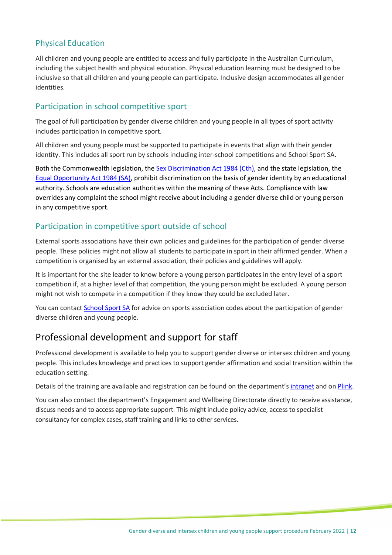#### Physical Education

All children and young people are entitled to access and fully participate in the Australian Curriculum, including the subject health and physical education. Physical education learning must be designed to be inclusive so that all children and young people can participate. Inclusive design accommodates all gender identities.

#### Participation in school competitive sport

The goal of full participation by gender diverse children and young people in all types of sport activity includes participation in competitive sport.

All children and young people must be supported to participate in events that align with their gender identity. This includes all sport run by schools including inter-school competitions and School Sport SA.

Both the Commonwealth legislation, the [Sex Discrimination Act 1984 \(Cth\),](https://www.legislation.gov.au/Series/C2004A02868) and the state legislation, the [Equal Opportunity Act 1984 \(SA\),](https://www.legislation.sa.gov.au/LZ/C/A/EQUAL%20OPPORTUNITY%20ACT%201984.aspx) prohibit discrimination on the basis of gender identity by an educational authority. Schools are education authorities within the meaning of these Acts. Compliance with law overrides any complaint the school might receive about including a gender diverse child or young person in any competitive sport.

#### Participation in competitive sport outside of school

External sports associations have their own policies and guidelines for the participation of gender diverse people. These policies might not allow all students to participate in sport in their affirmed gender. When a competition is organised by an external association, their policies and guidelines will apply.

It is important for the site leader to know before a young person participates in the entry level of a sport competition if, at a higher level of that competition, the young person might be excluded. A young person might not wish to compete in a competition if they know they could be excluded later.

You can contact [School Sport SA](http://www.schoolsportaustralia.edu.au/stateterritory-school-sport-offices/school-sport-sa/) for advice on sports association codes about the participation of gender diverse children and young people.

#### Professional development and support for staff

Professional development is available to help you to support gender diverse or intersex children and young people. This includes knowledge and practices to support gender affirmation and social transition within the education setting.

Details of the training are available and registration can be found on the department's [intranet](https://edi.sa.edu.au/supporting-children/behaviour-and-attendance/bullying/anti-bullying-initiatives) and on [Plink.](https://www.plink.sa.edu.au/pages/description.jsf?menuId=1108#/users/@self/catalogues/7661707/coursetemplates/14843946/description)

You can also contact the department's Engagement and Wellbeing Directorate directly to receive assistance, discuss needs and to access appropriate support. This might include policy advice, access to specialist consultancy for complex cases, staff training and links to other services.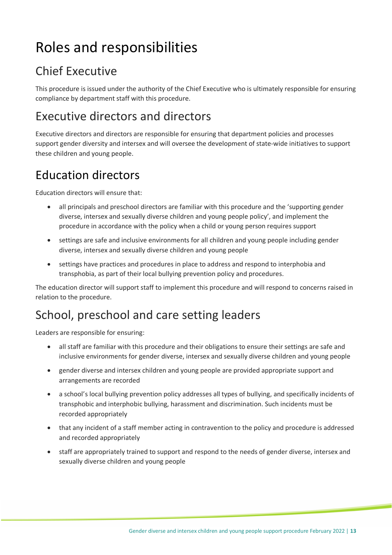# <span id="page-12-0"></span>Roles and responsibilities

## <span id="page-12-1"></span>Chief Executive

This procedure is issued under the authority of the Chief Executive who is ultimately responsible for ensuring compliance by department staff with this procedure.

## <span id="page-12-2"></span>Executive directors and directors

Executive directors and directors are responsible for ensuring that department policies and processes support gender diversity and intersex and will oversee the development of state-wide initiatives to support these children and young people.

## <span id="page-12-3"></span>Education directors

Education directors will ensure that:

- all principals and preschool directors are familiar with this procedure and the 'supporting gender diverse, intersex and sexually diverse children and young people policy', and implement the procedure in accordance with the policy when a child or young person requires support
- settings are safe and inclusive environments for all children and young people including gender diverse, intersex and sexually diverse children and young people
- settings have practices and procedures in place to address and respond to interphobia and transphobia, as part of their local bullying prevention policy and procedures.

The education director will support staff to implement this procedure and will respond to concerns raised in relation to the procedure.

### <span id="page-12-4"></span>School, preschool and care setting leaders

Leaders are responsible for ensuring:

- all staff are familiar with this procedure and their obligations to ensure their settings are safe and inclusive environments for gender diverse, intersex and sexually diverse children and young people
- gender diverse and intersex children and young people are provided appropriate support and arrangements are recorded
- a school's local bullying prevention policy addresses all types of bullying, and specifically incidents of transphobic and interphobic bullying, harassment and discrimination. Such incidents must be recorded appropriately
- that any incident of a staff member acting in contravention to the policy and procedure is addressed and recorded appropriately
- staff are appropriately trained to support and respond to the needs of gender diverse, intersex and sexually diverse children and young people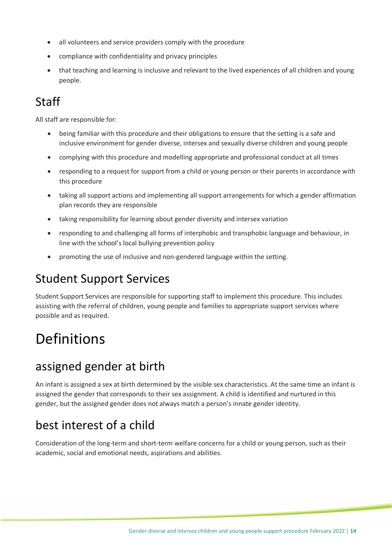- all volunteers and service providers comply with the procedure
- compliance with confidentiality and privacy principles
- that teaching and learning is inclusive and relevant to the lived experiences of all children and young people.

## <span id="page-13-1"></span>Staff

All staff are responsible for:

- being familiar with this procedure and their obligations to ensure that the setting is a safe and inclusive environment for gender diverse, intersex and sexually diverse children and young people
- complying with this procedure and modelling appropriate and professional conduct at all times
- responding to a request for support from a child or young person or their parents in accordance with this procedure
- taking all support actions and implementing all support arrangements for which a gender affirmation plan records they are responsible
- taking responsibility for learning about gender diversity and intersex variation
- responding to and challenging all forms of interphobic and transphobic language and behaviour, in line with the school's local bullying prevention policy
- promoting the use of inclusive and non-gendered language within the setting.

### <span id="page-13-2"></span>Student Support Services

Student Support Services are responsible for supporting staff to implement this procedure. This includes assisting with the referral of children, young people and families to appropriate support services where possible and as required.

# <span id="page-13-0"></span>Definitions

### <span id="page-13-3"></span>assigned gender at birth

An infant is assigned a sex at birth determined by the visible sex characteristics. At the same time an infant is assigned the gender that corresponds to their sex assignment. A child is identified and nurtured in this gender, but the assigned gender does not always match a person's innate gender identity.

## <span id="page-13-4"></span>best interest of a child

Consideration of the long-term and short-term welfare concerns for a child or young person, such as their academic, social and emotional needs, aspirations and abilities.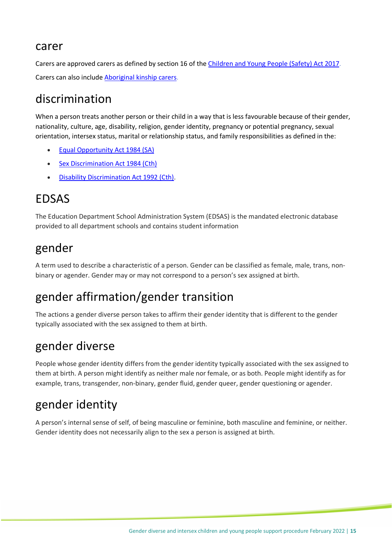#### <span id="page-14-0"></span>carer

Carers are approved carers as defined by section 16 of the [Children and Young People \(Safety\) Act 2017.](https://www.legislation.sa.gov.au/LZ/C/A/Children%20and%20Young%20People%20(Safety)%20Act%202017.aspx) Carers can also includ[e Aboriginal kinship carers.](https://www.childprotection.sa.gov.au/service-providers/service-specifications/kinship-care)

### <span id="page-14-1"></span>discrimination

When a person treats another person or their child in a way that is less favourable because of their gender, nationality, culture, age, disability, religion, gender identity, pregnancy or potential pregnancy, sexual orientation, intersex status, marital or relationship status, and family responsibilities as defined in the:

- **[Equal Opportunity Act](https://www.legislation.sa.gov.au/LZ/C/A/EQUAL%20OPPORTUNITY%20ACT%201984/CURRENT/1984.95.AUTH.PDF) 1984 (SA)**
- [Sex Discrimination Act 1984 \(Cth\)](https://www.legislation.gov.au/Details/C2017C00383)
- [Disability Discrimination Act 1992 \(Cth\).](https://www.legislation.gov.au/Details/C2018C00125)

### <span id="page-14-2"></span>EDSAS

The Education Department School Administration System (EDSAS) is the mandated electronic database provided to all department schools and contains student information

### <span id="page-14-3"></span>gender

A term used to describe a characteristic of a person. Gender can be classified as female, male, trans, nonbinary or agender. Gender may or may not correspond to a person's sex assigned at birth.

## <span id="page-14-4"></span>gender affirmation/gender transition

The actions a gender diverse person takes to affirm their gender identity that is different to the gender typically associated with the sex assigned to them at birth.

### <span id="page-14-5"></span>gender diverse

People whose gender identity differs from the gender identity typically associated with the sex assigned to them at birth. A person might identify as neither male nor female, or as both. People might identify as for example, trans, transgender, non-binary, gender fluid, gender queer, gender questioning or agender.

### <span id="page-14-6"></span>gender identity

A person's internal sense of self, of being masculine or feminine, both masculine and feminine, or neither. Gender identity does not necessarily align to the sex a person is assigned at birth.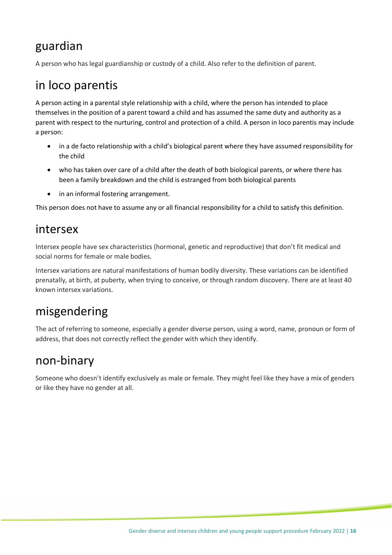### <span id="page-15-0"></span>guardian

A person who has legal guardianship or custody of a child. Also refer to the definition of parent.

### <span id="page-15-1"></span>in loco parentis

A person acting in a parental style relationship with a child, where the person has intended to place themselves in the position of a parent toward a child and has assumed the same duty and authority as a parent with respect to the nurturing, control and protection of a child. A person in loco parentis may include a person:

- in a de facto relationship with a child's biological parent where they have assumed responsibility for the child
- who has taken over care of a child after the death of both biological parents, or where there has been a family breakdown and the child is estranged from both biological parents
- in an informal fostering arrangement.

This person does not have to assume any or all financial responsibility for a child to satisfy this definition.

### <span id="page-15-2"></span>intersex

Intersex people have sex characteristics (hormonal, genetic and reproductive) that don't fit medical and social norms for female or male bodies.

Intersex variations are natural manifestations of human bodily diversity. These variations can be identified prenatally, at birth, at puberty, when trying to conceive, or through random discovery. There are at least 40 known intersex variations.

### <span id="page-15-3"></span>misgendering

The act of referring to someone, especially a gender diverse person, using a word, name, pronoun or form of address, that does not correctly reflect the gender with which they identify.

### <span id="page-15-4"></span>non-binary

Someone who doesn't identify exclusively as male or female. They might feel like they have a mix of genders or like they have no gender at all.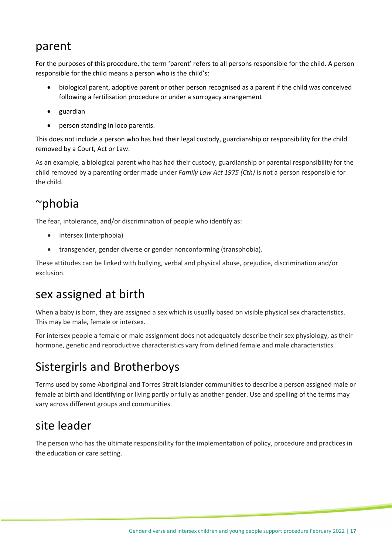### <span id="page-16-0"></span>parent

For the purposes of this procedure, the term 'parent' refers to all persons responsible for the child. A person responsible for the child means a person who is the child's:

- biological parent, adoptive parent or other person recognised as a parent if the child was conceived following a fertilisation procedure or under a surrogacy arrangement
- guardian
- person standing in loco parentis.

This does not include a person who has had their legal custody, guardianship or responsibility for the child removed by a Court, Act or Law.

As an example, a biological parent who has had their custody, guardianship or parental responsibility for the child removed by a parenting order made under *Family Law Act 1975 (Cth)* is not a person responsible for the child.

### <span id="page-16-1"></span>~phobia

The fear, intolerance, and/or discrimination of people who identify as:

- intersex (interphobia)
- transgender, gender diverse or gender nonconforming (transphobia).

These attitudes can be linked with bullying, verbal and physical abuse, prejudice, discrimination and/or exclusion.

### <span id="page-16-2"></span>sex assigned at birth

When a baby is born, they are assigned a sex which is usually based on visible physical sex characteristics. This may be male, female or intersex.

For intersex people a female or male assignment does not adequately describe their sex physiology, as their hormone, genetic and reproductive characteristics vary from defined female and male characteristics.

## <span id="page-16-3"></span>Sistergirls and Brotherboys

Terms used by some Aboriginal and Torres Strait Islander communities to describe a person assigned male or female at birth and identifying or living partly or fully as another gender. Use and spelling of the terms may vary across different groups and communities.

### <span id="page-16-4"></span>site leader

The person who has the ultimate responsibility for the implementation of policy, procedure and practices in the education or care setting.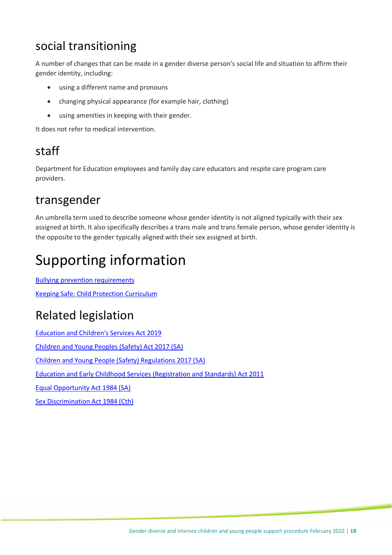## <span id="page-17-0"></span>social transitioning

A number of changes that can be made in a gender diverse person's social life and situation to affirm their gender identity, including:

- using a different name and pronouns
- changing physical appearance (for example hair, clothing)
- using amenities in keeping with their gender.

It does not refer to medical intervention.

## <span id="page-17-1"></span>staff

Department for Education employees and family day care educators and respite care program care providers.

### <span id="page-17-2"></span>transgender

An umbrella term used to describe someone whose gender identity is not aligned typically with their sex assigned at birth. It also specifically describes a trans male and trans female person, whose gender identity is the opposite to the gender typically aligned with their sex assigned at birth.

# <span id="page-17-3"></span>Supporting information

[Bullying prevention requirements](https://edi.sa.edu.au/supporting-children/behaviour-and-attendance/bullying/bullying-prevention-requirements) Keeping [Safe: Child Protection](https://edi.sa.edu.au/educating/curriculum-pedagogy-frameworks/child-protection-and-wellbeing/child-protection-curriculum) Curriculum

## <span id="page-17-4"></span>Related legislation

[Education and Children's Services Act 2019](https://legislation.sa.gov.au/LZ/V/A/2019/EDUCATION%20AND%20CHILDRENS%20SERVICES%20ACT%202019_19/2019.19.UN.PDF)  [Children and Young Peoples \(Safety\) Act 2017 \(SA\)](https://www.legislation.sa.gov.au/LZ/C/A/CHILDREN%20AND%20YOUNG%20PEOPLE%20(SAFETY)%20ACT%202017.aspx) [Children and Young People \(Safety\) Regulations 2017 \(SA\)](https://www.legislation.sa.gov.au/LZ/C/R/Children%20and%20Young%20People%20(Safety)%20Regulations%202017.aspx) [Education and Early Childhood Services \(Registration and Standards\) Act 2011](https://www.legislation.sa.gov.au/LZ/C/A/EDUCATION%20AND%20EARLY%20CHILDHOOD%20SERVICES%20(REGISTRATION%20AND%20STANDARDS)%20ACT%202011.aspx) [Equal Opportunity Act 1984 \(SA\)](https://www.legislation.sa.gov.au/LZ/C/A/EQUAL%20OPPORTUNITY%20ACT%201984.aspx) [Sex Discrimination Act 1984 \(Cth\)](https://www.legislation.gov.au/Series/C2004A02868)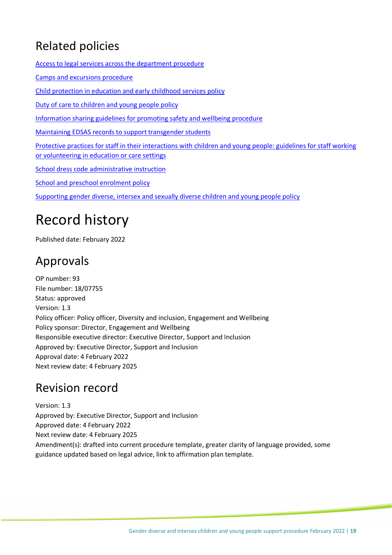## <span id="page-18-0"></span>Related policies

[Access to legal services across the department procedure](https://edi.sa.edu.au/library/document-library/controlled-procedures/access-to-legal-services-across-the-department-for-education-procedure)

[Camps and excursions procedure](https://edi.sa.edu.au/library/document-library/controlled-procedures/camps-and-excursions-procedure)

[Child protection in education and early childhood services policy](https://edi.sa.edu.au/library/document-library/controlled-policies/child-protection-in-education-and-early-childhood-services-policy)

[Duty of care to children and young people policy](https://edi.sa.edu.au/library/document-library/controlled-policies/duty-of-care-policy)

[Information sharing guidelines for promoting safety and wellbeing procedure](https://www.education.sa.gov.au/sites/default/files/information-sharing-guidelines-for-promoting-safety-and-wellbeing-procedure.pdf)

Maintaining EDSAS records to support [transgender students](https://selfservice.education.sa.gov.au/$viewer.do?sysparm_stack=no&sysparm_sys_id=2e27cc1c1bd8301094e277331d4bcb4e)

[Protective practices for staff in their interactions with children and young people:](https://edi.sa.edu.au/library/document-library/controlled-guidelines/protective-practices-staff-interactions-children-young-people.pdf) guidelines for staff working [or volunteering in education or care settings](https://edi.sa.edu.au/library/document-library/controlled-guidelines/protective-practices-staff-interactions-children-young-people.pdf)

[School dress code administrative instruction](https://edi.sa.edu.au/operations-and-management/school-preschool-and-fdc-admin/school-administration/school-dress-code-administrative-instruction)

[School and preschool enrolment policy](https://edi.sa.edu.au/library/document-library/controlled-policies/school-and-preschool-enrolment-policy)

[Supporting gender diverse, intersex and sexually diverse children and young people policy](https://edi.sa.edu.au/library/document-library/controlled-policies/supporting-gender-diverse-intersex-sexually-diverse-children-young-people-policy.pdf)

## <span id="page-18-1"></span>Record history

Published date: February 2022

### <span id="page-18-2"></span>Approvals

OP number: 93 File number: 18/07755 Status: approved Version: 1.3 Policy officer: Policy officer, Diversity and inclusion, Engagement and Wellbeing Policy sponsor: Director, Engagement and Wellbeing Responsible executive director: Executive Director, Support and Inclusion Approved by: Executive Director, Support and Inclusion Approval date: 4 February 2022 Next review date: 4 February 2025

### <span id="page-18-3"></span>Revision record

Version: 1.3 Approved by: Executive Director, Support and Inclusion Approved date: 4 February 2022 Next review date: 4 February 2025 Amendment(s): drafted into current procedure template, greater clarity of language provided, some guidance updated based on legal advice, link to affirmation plan template.